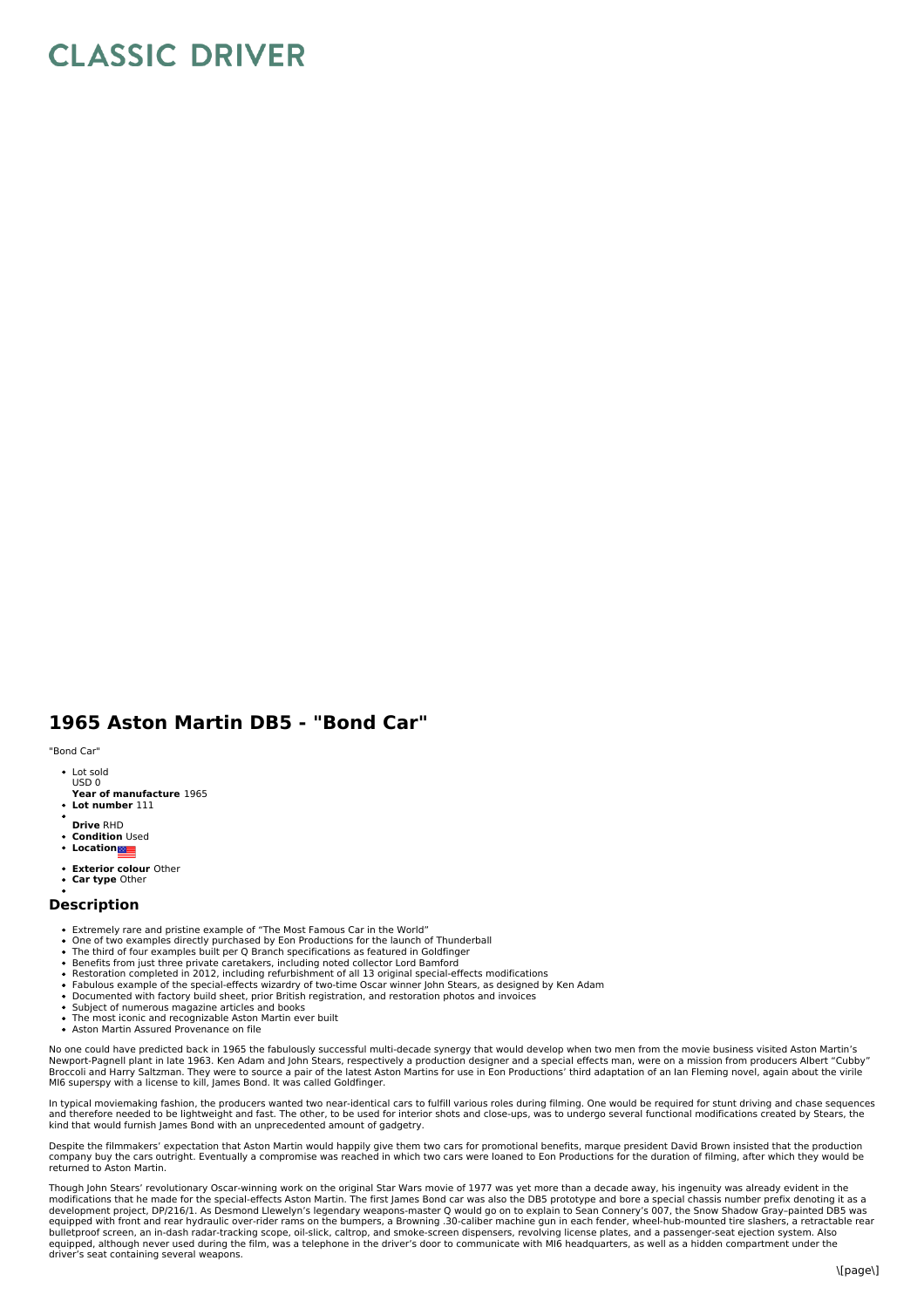## **CLASSIC DRIVER**

## **1965 Aston Martin DB5 - "Bond Car"**

"Bond Car"

- Lot sold USD 0
- **Year of manufacture** 1965
- **Lot number** 111
- **Drive** RHD
- **Condition** Used
- **•** Location
- **Exterior colour** Other
- **Car type** Other

## **Description**

- Extremely rare and pristine example of "The Most Famous Car in the World"
- 
- One of two examples directly purchased by Eon Productions for the launch of Thunderball<br>The third of four examples built per Q Branch specifications as featured in Goldfinger
- 
- 
- Benefits from just three private caretakers, including noted collector Lord Bamford<br>Restoration completed in 2012, including refurbishment of all 13 original special-effects modifications<br>Fabulous example of the special-ef
- 
- The most iconic and recognizable Aston Martin ever built
- Aston Martin Assured Provenance on file

No one could have predicted back in 1965 the fabulously successful multi-decade synergy that would develop when two men from the movie business visited Aston Martin's<br>Newport-Pagnell plant in late 1963. Ken Adam and John S MI6 superspy with a license to kill, James Bond. It was called Goldfinger.

In typical moviemaking fashion, the producers wanted two near-identical cars to fulfill various roles during filming. One would be required for stunt driving and chase sequences and therefore needed to be lightweight and fast. The other, to be used for interior shots and close-ups, was to undergo several functional modifications created by Stears, the<br>kind that would furnish James Bond with an unp

Despite the filmmakers' expectation that Aston Martin would happily give them two cars for promotional benefits, marque president David Brown insisted that the production<br>company buy the cars outright. Eventually a comprom returned to Aston Martin.

Though John Stears' revolutionary Oscar-winning work on the original Star Wars movie of 1977 was yet more than a decade away, his ingenuity was already evident in the<br>modifications that he made for the special-effects Asto development project, DP/216/1. As Desmond Llewelyn's legendary weapons-master Q would go on to explain to Sean Connery's 007, the Snow Shadow Gray-painted DB5 was<br>equipped with front and rear hydraulic over-rider rams on t equipped, although never used during the film, was a telephone in the driver's door to communicate with MI6 headquarters, as well as a hidden compartment under the driver's seat containing several weapons.